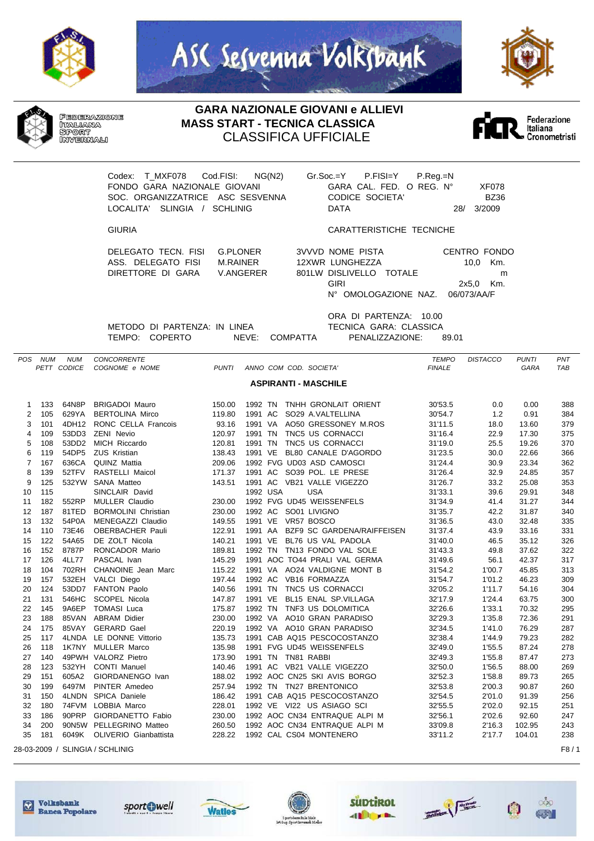







**GARA NAZIONALE GIOVANI e ALLIEVI MASS START - TECNICA CLASSICA** CLASSIFICA UFFICIALE



Codex: T\_MXF078 Cod.FISI: NG(N2) Gr.Soc.=Y P.FISI=Y P.Reg.=N FONDO GARA NAZIONALE GIOVANI GARA CAL. FED. O REG. N° XF078 SOC. ORGANIZZATRICE ASC SESVENNA CODICE SOCIETA' BZ36 LOCALITA' SLINGIA / SCHLINIG

GIURIA CARATTERISTICHE TECNICHE

DELEGATO TECN. FISI G.PLONER ASS. DELEGATO FISI M.RAINER DIRETTORE DI GARA V.ANGERER

| <b>3VVVD NOME PISTA</b>          | CENTRO FONDO |          |
|----------------------------------|--------------|----------|
| 12XWR LUNGHEZZA                  |              | 10.0 Km. |
| 801LW DISLIVELLO TOTALE          |              | m        |
| GIRI                             | 2x5.0 Km.    |          |
| N° OMOLOGAZIONE NAZ. 06/073/AA/F |              |          |
|                                  |              |          |

METODO DI PARTENZA: IN LINEA TECNICA GARA: CLASSICA TEMPO: COPERTO NEVE: COMPATTA PENALIZZAZIONE: 89.01

ORA DI PARTENZA: 10.00

|                | POS NUM | <b>NUM</b>  | <b>CONCORRENTE</b>              |              |                                       | <b>TEMPO</b>  | <b>DISTACCO</b> | <b>PUNTI</b> | PNT  |
|----------------|---------|-------------|---------------------------------|--------------|---------------------------------------|---------------|-----------------|--------------|------|
|                |         | PETT CODICE | COGNOME e NOME                  | <b>PUNTI</b> | ANNO COM COD. SOCIETA'                | <b>FINALE</b> |                 | GARA         | TAB  |
|                |         |             |                                 |              | <b>ASPIRANTI - MASCHILE</b>           |               |                 |              |      |
|                |         |             |                                 |              |                                       |               |                 |              |      |
| 1              | 133     | 64N8P       | <b>BRIGADOI Mauro</b>           | 150.00       | TNHH GRONLAIT ORIENT<br>1992 TN       | 30'53.5       | 0.0             | 0.00         | 388  |
| $\overline{2}$ | 105     | 629YA       | <b>BERTOLINA Mirco</b>          | 119.80       | 1991 AC<br>SO29 A.VALTELLINA          | 30'54.7       | 1.2             | 0.91         | 384  |
| 3              | 101     |             | 4DH12 RONC CELLA Francois       | 93.16        | 1991 VA<br>AO50 GRESSONEY M.ROS       | 31'11.5       | 18.0            | 13.60        | 379  |
| 4              | 109     | 53DD3       | <b>ZENI Nevio</b>               | 120.97       | 1991 TN<br>TNC5 US CORNACCI           | 31'16.4       | 22.9            | 17.30        | 375  |
| 5              | 108     | 53DD2       | MICH Riccardo                   | 120.81       | 1991 TN<br>TNC5 US CORNACCI           | 31'19.0       | 25.5            | 19.26        | 370  |
| 6              | 119     | 54DP5       | <b>ZUS Kristian</b>             | 138.43       | 1991 VE<br>BL80 CANALE D'AGORDO       | 31'23.5       | 30.0            | 22.66        | 366  |
| $\overline{7}$ | 167     | 636CA       | <b>QUINZ Mattia</b>             | 209.06       | 1992 FVG UD03 ASD CAMOSCI             | 31'24.4       | 30.9            | 23.34        | 362  |
| 8              | 139     | 52TFV       | RASTELLI Maicol                 | 171.37       | 1991 AC SO39 POL. LE PRESE            | 31'26.4       | 32.9            | 24.85        | 357  |
| 9              | 125     | 532YW       | <b>SANA Matteo</b>              | 143.51       | 1991 AC VB21 VALLE VIGEZZO            | 31'26.7       | 33.2            | 25.08        | 353  |
| 10             | 115     |             | SINCLAIR David                  |              | 1992 USA<br><b>USA</b>                | 31'33.1       | 39.6            | 29.91        | 348  |
| 11             | 182     | 552RP       | <b>MULLER Claudio</b>           | 230.00       | 1992 FVG UD45 WEISSENFELS             | 31'34.9       | 41.4            | 31.27        | 344  |
| 12             | 187     | 81TED       | <b>BORMOLINI Christian</b>      | 230.00       | 1992 AC SO01 LIVIGNO                  | 31'35.7       | 42.2            | 31.87        | 340  |
| 13             | 132     | 54P0A       | MENEGAZZI Claudio               | 149.55       | 1991 VE VR57 BOSCO                    | 31'36.5       | 43.0            | 32.48        | 335  |
| 14             | 110     | 73E46       | <b>OBERBACHER Pauli</b>         | 122.91       | 1991 AA<br>BZF9 SC GARDENA/RAIFFEISEN | 31'37.4       | 43.9            | 33.16        | 331  |
| 15             | 122     | 54A65       | DE ZOLT Nicola                  | 140.21       | BL76 US VAL PADOLA<br>1991 VE         | 31'40.0       | 46.5            | 35.12        | 326  |
| 16             | 152     | 8787P       | RONCADOR Mario                  | 189.81       | 1992 TN<br>TN13 FONDO VAL SOLE        | 31'43.3       | 49.8            | 37.62        | 322  |
| 17             | 126     | 4LL77       | PASCAL Ivan                     | 145.29       | 1991 AOC TO44 PRALI VAL GERMA         | 31'49.6       | 56.1            | 42.37        | 317  |
| 18             | 104     | 702RH       | CHANOINE Jean Marc              | 115.22       | 1991 VA AO24 VALDIGNE MONT B          | 31'54.2       | 1'00.7          | 45.85        | 313  |
| 19             | 157     | 532EH       | VALCI Diego                     | 197.44       | 1992 AC<br>VB16 FORMAZZA              | 31'54.7       | 1'01.2          | 46.23        | 309  |
| 20             | 124     | 53DD7       | FANTON Paolo                    | 140.56       | TNC5 US CORNACCI<br>1991 TN           | 32'05.2       | 1'11.7          | 54.16        | 304  |
| 21             | 131     | 546HC       | SCOPEL Nicola                   | 147.87       | 1991 VE<br>BL15 ENAL SP.VILLAGA       | 32'17.9       | 1'24.4          | 63.75        | 300  |
| 22             | 145     | 9A6EP       | <b>TOMASI Luca</b>              | 175.87       | TNF3 US DOLOMITICA<br>1992 TN         | 32'26.6       | 1'33.1          | 70.32        | 295  |
| 23             | 188     | 85VAN       | <b>ABRAM Didier</b>             | 230.00       | AO10 GRAN PARADISO<br>1992 VA         | 32'29.3       | 1'35.8          | 72.36        | 291  |
| 24             | 175     | 85VAY       | <b>GERARD Gael</b>              | 220.19       | 1992 VA AO10 GRAN PARADISO            | 32'34.5       | 1'41.0          | 76.29        | 287  |
| 25             | 117     |             | 4LNDA LE DONNE Vittorio         | 135.73       | 1991 CAB AQ15 PESCOCOSTANZO           | 32'38.4       | 1'44.9          | 79.23        | 282  |
| 26             | 118     |             | 1K7NY MULLER Marco              | 135.98       | 1991 FVG UD45 WEISSENFELS             | 32'49.0       | 1'55.5          | 87.24        | 278  |
| 27             | 140     |             | 49PWH VALORZ Pietro             | 173.90       | 1991 TN TN81 RABBI                    | 32'49.3       | 1'55.8          | 87.47        | 273  |
| 28             | 123     | 532YH       | <b>CONTI Manuel</b>             | 140.46       | 1991 AC VB21 VALLE VIGEZZO            | 32'50.0       | 1'56.5          | 88.00        | 269  |
| 29             | 151     | 605A2       | GIORDANENGO Ivan                | 188.02       | 1992 AOC CN25 SKI AVIS BORGO          | 32'52.3       | 1'58.8          | 89.73        | 265  |
| 30             | 199     | 6497M       | PINTER Amedeo                   | 257.94       | 1992 TN TN27 BRENTONICO               | 32'53.8       | 2'00.3          | 90.87        | 260  |
| 31             | 150     | 4LNDN       | SPICA Daniele                   | 186.42       | 1991 CAB AQ15 PESCOCOSTANZO           | 32'54.5       | 2'01.0          | 91.39        | 256  |
| 32             | 180     |             | 74FVM LOBBIA Marco              | 228.01       | 1992 VE VI22 US ASIAGO SCI            | 32'55.5       | 2'02.0          | 92.15        | 251  |
| 33             | 186     | 90PRP       | <b>GIORDANETTO Fabio</b>        | 230.00       | 1992 AOC CN34 ENTRAQUE ALPI M         | 32'56.1       | 2'02.6          | 92.60        | 247  |
| 34             | 200     |             | 90N5W PELLEGRINO Matteo         | 260.50       | 1992 AOC CN34 ENTRAQUE ALPI M         | 33'09.8       | 2'16.3          | 102.95       | 243  |
| 35             | 181     | 6049K       | OLIVERIO Gianbattista           | 228.22       | 1992 CAL CS04 MONTENERO               | 33'11.2       | 2'17.7          | 104.01       | 238  |
|                |         |             | 28-03-2009 / SLINGIA / SCHLINIG |              |                                       |               |                 |              | F8/1 |